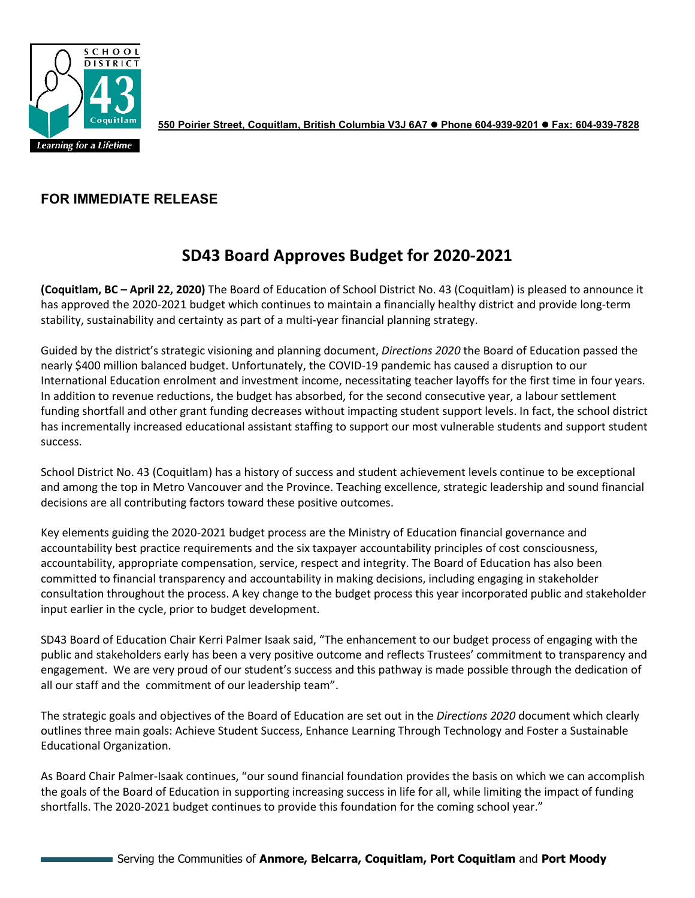

**550 Poirier Street, Coquitlam, British Columbia V3J 6A7 Phone 604-939-9201 Fax: 604-939-7828**

## **FOR IMMEDIATE RELEASE**

## **SD43 Board Approves Budget for 2020-2021**

**(Coquitlam, BC – April 22, 2020)** The Board of Education of School District No. 43 (Coquitlam) is pleased to announce it has approved the 2020-2021 budget which continues to maintain a financially healthy district and provide long-term stability, sustainability and certainty as part of a multi-year financial planning strategy.

Guided by the district's strategic visioning and planning document, *Directions 2020* the Board of Education passed the nearly \$400 million balanced budget. Unfortunately, the COVID-19 pandemic has caused a disruption to our International Education enrolment and investment income, necessitating teacher layoffs for the first time in four years. In addition to revenue reductions, the budget has absorbed, for the second consecutive year, a labour settlement funding shortfall and other grant funding decreases without impacting student support levels. In fact, the school district has incrementally increased educational assistant staffing to support our most vulnerable students and support student success.

School District No. 43 (Coquitlam) has a history of success and student achievement levels continue to be exceptional and among the top in Metro Vancouver and the Province. Teaching excellence, strategic leadership and sound financial decisions are all contributing factors toward these positive outcomes.

Key elements guiding the 2020-2021 budget process are the Ministry of Education financial governance and accountability best practice requirements and the six taxpayer accountability principles of cost consciousness, accountability, appropriate compensation, service, respect and integrity. The Board of Education has also been committed to financial transparency and accountability in making decisions, including engaging in stakeholder consultation throughout the process. A key change to the budget process this year incorporated public and stakeholder input earlier in the cycle, prior to budget development.

SD43 Board of Education Chair Kerri Palmer Isaak said, "The enhancement to our budget process of engaging with the public and stakeholders early has been a very positive outcome and reflects Trustees' commitment to transparency and engagement. We are very proud of our student's success and this pathway is made possible through the dedication of all our staff and the commitment of our leadership team".

The strategic goals and objectives of the Board of Education are set out in the *Directions 2020* document which clearly outlines three main goals: Achieve Student Success, Enhance Learning Through Technology and Foster a Sustainable Educational Organization.

As Board Chair Palmer-Isaak continues, "our sound financial foundation provides the basis on which we can accomplish the goals of the Board of Education in supporting increasing success in life for all, while limiting the impact of funding shortfalls. The 2020-2021 budget continues to provide this foundation for the coming school year."